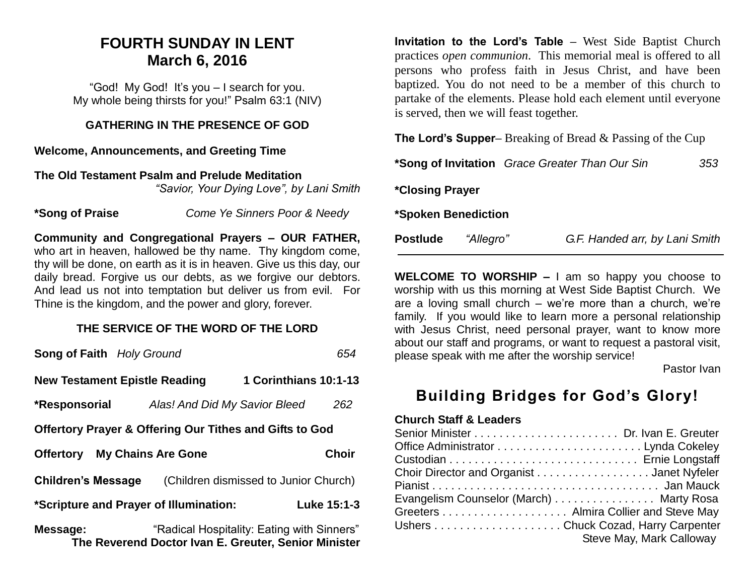## **FOURTH SUNDAY IN LENT March 6, 2016**

"God! My God! It's you – I search for you. My whole being thirsts for you!" Psalm 63:1 (NIV)

#### **GATHERING IN THE PRESENCE OF GOD**

**Welcome, Announcements, and Greeting Time** 

**The Old Testament Psalm and Prelude Meditation**  *"Savior, Your Dying Love", by Lani Smith* 

**\*Song of Praise** *Come Ye Sinners Poor & Needy*

**Community and Congregational Prayers – OUR FATHER,**  who art in heaven, hallowed be thy name. Thy kingdom come, thy will be done, on earth as it is in heaven. Give us this day, our daily bread. Forgive us our debts, as we forgive our debtors. And lead us not into temptation but deliver us from evil. For Thine is the kingdom, and the power and glory, forever.

## **THE SERVICE OF THE WORD OF THE LORD**

| <b>Song of Faith Holy Ground</b>                                   |                                                      |                                            | 654          |  |  |
|--------------------------------------------------------------------|------------------------------------------------------|--------------------------------------------|--------------|--|--|
| <b>New Testament Epistle Reading</b>                               |                                                      | 1 Corinthians 10:1-13                      |              |  |  |
| *Responsorial                                                      | Alas! And Did My Savior Bleed                        |                                            | 262          |  |  |
| <b>Offertory Prayer &amp; Offering Our Tithes and Gifts to God</b> |                                                      |                                            |              |  |  |
| <b>Offertory</b> My Chains Are Gone                                |                                                      |                                            | <b>Choir</b> |  |  |
| <b>Children's Message</b>                                          |                                                      | (Children dismissed to Junior Church)      |              |  |  |
| *Scripture and Prayer of Illumination:                             |                                                      |                                            | Luke 15:1-3  |  |  |
| Message:                                                           | The Reverend Doctor Ivan E. Greuter, Senior Minister | "Radical Hospitality: Eating with Sinners" |              |  |  |

**Invitation to the Lord's Table –** West Side Baptist Church practices *open communion*. This memorial meal is offered to all persons who profess faith in Jesus Christ, and have been baptized. You do not need to be a member of this church to partake of the elements. Please hold each element until everyone is served, then we will feast together.

**The Lord's Supper–** Breaking of Bread & Passing of the Cup

|                        |           | <i>*Song of Invitation Grace Greater Than Our Sin</i><br>353 |  |  |
|------------------------|-----------|--------------------------------------------------------------|--|--|
| <i>*Closing Prayer</i> |           |                                                              |  |  |
| *Spoken Benediction    |           |                                                              |  |  |
| <b>Postlude</b>        | "Allegro" | G.F. Handed arr, by Lani Smith                               |  |  |

**WELCOME TO WORSHIP –** I am so happy you choose to worship with us this morning at West Side Baptist Church. We are a loving small church – we're more than a church, we're family. If you would like to learn more a personal relationship with Jesus Christ, need personal prayer, want to know more about our staff and programs, or want to request a pastoral visit, please speak with me after the worship service!

Pastor Ivan

## **Building Bridges for God's Glory!**

#### **Church Staff & Leaders**

| Choir Director and Organist Janet Nyfeler |                          |
|-------------------------------------------|--------------------------|
|                                           |                          |
| Evangelism Counselor (March) Marty Rosa   |                          |
|                                           |                          |
|                                           |                          |
|                                           | Steve May, Mark Calloway |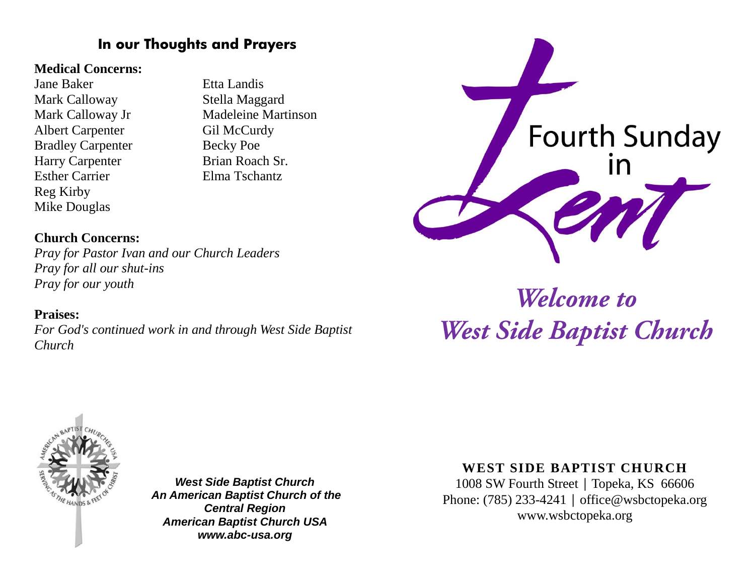## **In our Thoughts and Prayers**

## **Medical Concerns:**

Jane Baker Etta Landis Mark Calloway Stella Maggard Albert Carpenter Gil McCurdy Bradley Carpenter Becky Poe Harry Carpenter Brian Roach Sr. Esther Carrier Elma Tschantz Reg Kirby Mike Douglas

**Church Concerns:**

*Pray for our youth*

**Praises:**

*Church* 

*Pray for all our shut-ins*

*Pray for Pastor Ivan and our Church Leaders*

*For God's continued work in and through West Side Baptist* 

Mark Calloway Jr Madeleine Martinson



# Welcome to **West Side Baptist Church**



*West Side Baptist Church An American Baptist Church of the Central Region American Baptist Church USA www.abc-usa.org*

## **WEST SIDE BAPTIST CHURCH**

1008 SW Fourth Street | Topeka, KS 66606 Phone: (785) 233-4241 │ [office@wsbctopeka.org](mailto:office@wsbctopeka.org) www.wsbctopeka.org